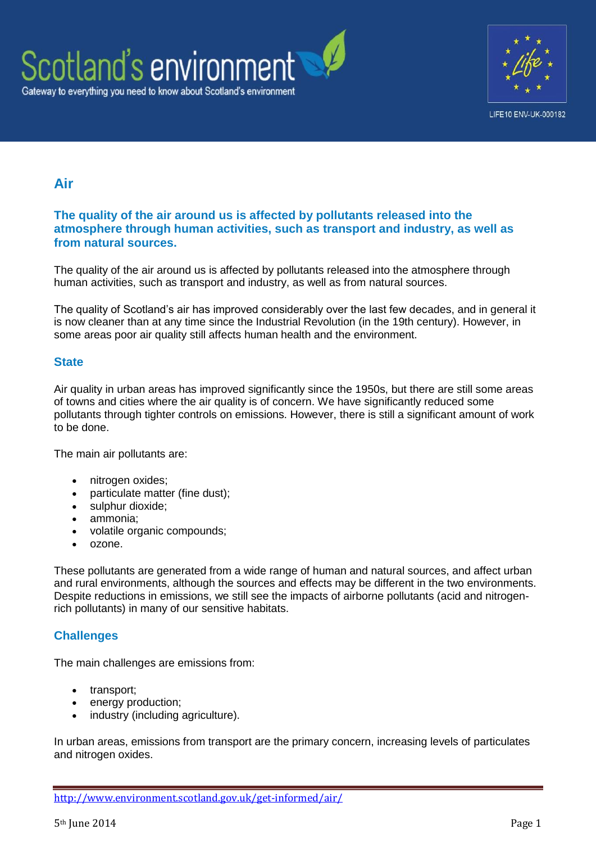



# **Air**

#### **The quality of the air around us is affected by pollutants released into the atmosphere through human activities, such as transport and industry, as well as from natural sources.**

The quality of the air around us is affected by pollutants released into the atmosphere through human activities, such as transport and industry, as well as from natural sources.

The quality of Scotland's air has improved considerably over the last few decades, and in general it is now cleaner than at any time since the Industrial Revolution (in the 19th century). However, in some areas poor air quality still affects human health and the environment.

#### **State**

Air quality in urban areas has improved significantly since the 1950s, but there are still some areas of towns and cities where the air quality is of concern. We have significantly reduced some pollutants through tighter controls on emissions. However, there is still a significant amount of work to be done.

The main air pollutants are:

- nitrogen oxides;
- particulate matter (fine dust);
- sulphur dioxide:
- ammonia;
- volatile organic compounds;
- ozone.

These pollutants are generated from a wide range of human and natural sources, and affect urban and rural environments, although the sources and effects may be different in the two environments. Despite reductions in emissions, we still see the impacts of airborne pollutants (acid and nitrogenrich pollutants) in many of our sensitive habitats.

## **Challenges**

The main challenges are emissions from:

- transport;
- energy production;
- industry (including agriculture).

In urban areas, emissions from transport are the primary concern, increasing levels of particulates and nitrogen oxides.

<http://www.environment.scotland.gov.uk/get-informed/air/>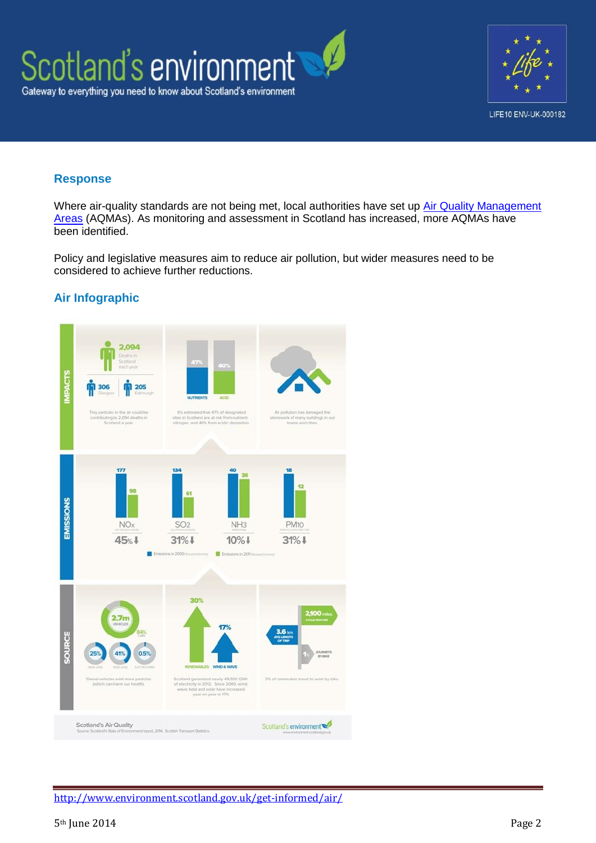

#### **Response**

Where air-quality standards are not being met, local authorities have set up Air Quality Management [Areas](http://www.scottishairquality.co.uk/laqm.php) (AQMAs). As monitoring and assessment in Scotland has increased, more AQMAs have been identified.

Policy and legislative measures aim to reduce air pollution, but wider measures need to be considered to achieve further reductions.

## **Air Infographic**